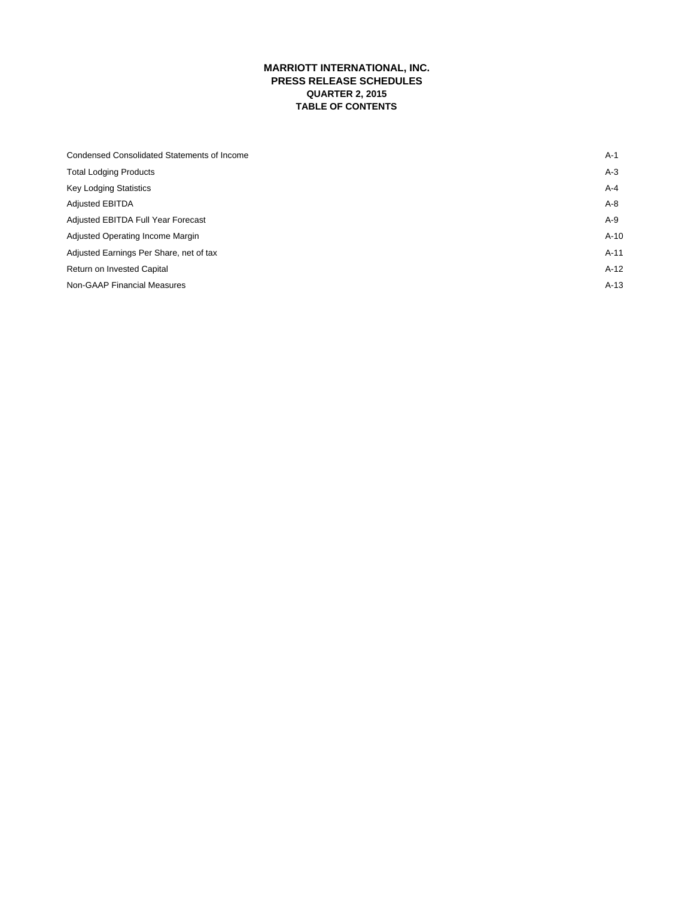## **MARRIOTT INTERNATIONAL, INC. PRESS RELEASE SCHEDULES QUARTER 2, 2015 TABLE OF CONTENTS**

| <b>Condensed Consolidated Statements of Income</b> | $A-1$   |
|----------------------------------------------------|---------|
| <b>Total Lodging Products</b>                      | $A-3$   |
| <b>Key Lodging Statistics</b>                      | $A - 4$ |
| <b>Adjusted EBITDA</b>                             | A-8     |
| Adjusted EBITDA Full Year Forecast                 | A-9     |
| Adjusted Operating Income Margin                   | $A-10$  |
| Adjusted Earnings Per Share, net of tax            | $A-11$  |
| Return on Invested Capital                         | $A-12$  |
| <b>Non-GAAP Financial Measures</b>                 | $A-13$  |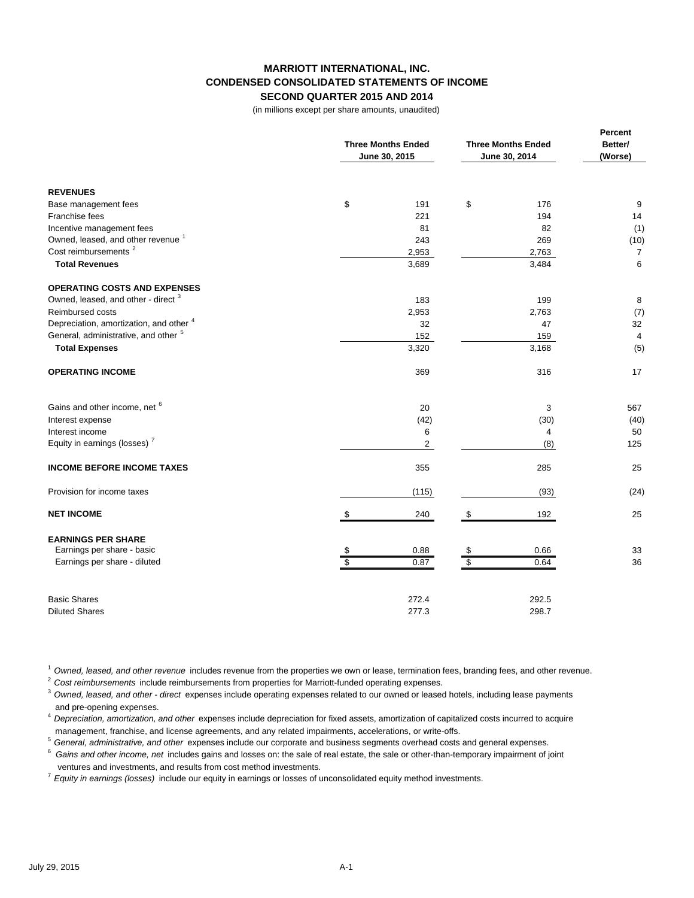## **MARRIOTT INTERNATIONAL, INC. CONDENSED CONSOLIDATED STATEMENTS OF INCOME SECOND QUARTER 2015 AND 2014**

(in millions except per share amounts, unaudited)

|                                                 | <b>Three Months Ended</b><br>June 30, 2015 | <b>Three Months Ended</b><br>June 30, 2014 | Percent<br>Better/<br>(Worse) |
|-------------------------------------------------|--------------------------------------------|--------------------------------------------|-------------------------------|
| <b>REVENUES</b>                                 |                                            |                                            |                               |
| Base management fees                            | \$<br>191                                  | \$<br>176                                  | 9                             |
| Franchise fees                                  | 221                                        | 194                                        | 14                            |
| Incentive management fees                       | 81                                         | 82                                         | (1)                           |
| Owned, leased, and other revenue <sup>1</sup>   | 243                                        | 269                                        | (10)                          |
| Cost reimbursements <sup>2</sup>                | 2,953                                      | 2,763                                      | $\overline{7}$                |
| <b>Total Revenues</b>                           | 3,689                                      | 3,484                                      | 6                             |
| <b>OPERATING COSTS AND EXPENSES</b>             |                                            |                                            |                               |
| Owned, leased, and other - direct <sup>3</sup>  | 183                                        | 199                                        | 8                             |
| Reimbursed costs                                | 2,953                                      | 2,763                                      | (7)                           |
| Depreciation, amortization, and other 4         | 32                                         | 47                                         | 32                            |
| General, administrative, and other <sup>5</sup> | 152                                        | 159                                        | 4                             |
| <b>Total Expenses</b>                           | 3,320                                      | 3,168                                      | (5)                           |
| <b>OPERATING INCOME</b>                         | 369                                        | 316                                        | 17                            |
| Gains and other income, net 6                   | 20                                         | 3                                          | 567                           |
| Interest expense                                | (42)                                       | (30)                                       | (40)                          |
| Interest income                                 | 6                                          | 4                                          | 50                            |
| Equity in earnings (losses) <sup>7</sup>        | $\overline{2}$                             | (8)                                        | 125                           |
| <b>INCOME BEFORE INCOME TAXES</b>               | 355                                        | 285                                        | 25                            |
| Provision for income taxes                      | (115)                                      | (93)                                       | (24)                          |
| <b>NET INCOME</b>                               | \$<br>240                                  | 192<br>\$                                  | 25                            |
| <b>EARNINGS PER SHARE</b>                       |                                            |                                            |                               |
| Earnings per share - basic                      | 0.88<br>\$                                 | 0.66<br>\$                                 | 33                            |
| Earnings per share - diluted                    | $\overline{\$}$<br>0.87                    | $\overline{\$}$<br>0.64                    | 36                            |
| <b>Basic Shares</b>                             | 272.4                                      | 292.5                                      |                               |
| <b>Diluted Shares</b>                           | 277.3                                      | 298.7                                      |                               |

<sup>1</sup>*Owned, leased, and other revenue* includes revenue from the properties we own or lease, termination fees, branding fees, and other revenue.

<sup>2</sup>*Cost reimbursements* include reimbursements from properties for Marriott-funded operating expenses.

<sup>3</sup>*Owned, leased, and other - direct* expenses include operating expenses related to our owned or leased hotels, including lease payments and pre-opening expenses.

<sup>4</sup>*Depreciation, amortization, and other* expenses include depreciation for fixed assets, amortization of capitalized costs incurred to acquire management, franchise, and license agreements, and any related impairments, accelerations, or write-offs.

<sup>5</sup>*General, administrative, and other* expenses include our corporate and business segments overhead costs and general expenses.

6 *Gains and other income, net* includes gains and losses on: the sale of real estate, the sale or other-than-temporary impairment of joint ventures and investments, and results from cost method investments.

<sup>7</sup>*Equity in earnings (losses)* include our equity in earnings or losses of unconsolidated equity method investments.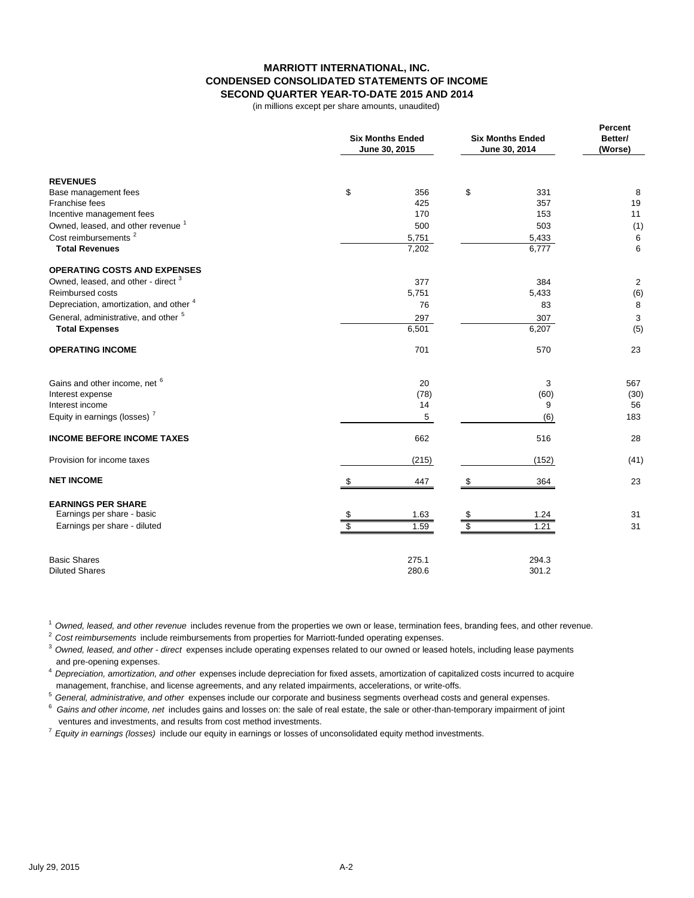### **MARRIOTT INTERNATIONAL, INC. CONDENSED CONSOLIDATED STATEMENTS OF INCOME SECOND QUARTER YEAR-TO-DATE 2015 AND 2014**

(in millions except per share amounts, unaudited)

|                                                 | <b>Six Months Ended</b><br>June 30, 2015 | <b>Six Months Ended</b><br>June 30, 2014 | Percent<br>Better/<br>(Worse) |
|-------------------------------------------------|------------------------------------------|------------------------------------------|-------------------------------|
| <b>REVENUES</b>                                 |                                          |                                          |                               |
| Base management fees                            | \$<br>356                                | \$<br>331                                | 8                             |
| Franchise fees                                  | 425                                      | 357                                      | 19                            |
| Incentive management fees                       | 170                                      | 153                                      | 11                            |
| Owned, leased, and other revenue <sup>1</sup>   | 500                                      | 503                                      | (1)                           |
| Cost reimbursements <sup>2</sup>                | 5,751                                    | 5,433                                    | 6                             |
| <b>Total Revenues</b>                           | 7,202                                    | 6,777                                    | 6                             |
| <b>OPERATING COSTS AND EXPENSES</b>             |                                          |                                          |                               |
| Owned, leased, and other - direct <sup>3</sup>  | 377                                      | 384                                      | 2                             |
| Reimbursed costs                                | 5,751                                    | 5,433                                    | (6)                           |
| Depreciation, amortization, and other 4         | 76                                       | 83                                       | 8                             |
| General, administrative, and other <sup>5</sup> | 297                                      | 307                                      | 3                             |
| <b>Total Expenses</b>                           | 6,501                                    | 6,207                                    | (5)                           |
| <b>OPERATING INCOME</b>                         | 701                                      | 570                                      | 23                            |
| Gains and other income, net 6                   | 20                                       | 3                                        | 567                           |
| Interest expense                                | (78)                                     | (60)                                     | (30)                          |
| Interest income                                 | 14                                       | 9                                        | 56                            |
| Equity in earnings (losses) <sup>7</sup>        | 5                                        | (6)                                      | 183                           |
| <b>INCOME BEFORE INCOME TAXES</b>               | 662                                      | 516                                      | 28                            |
| Provision for income taxes                      | (215)                                    | (152)                                    | (41)                          |
| <b>NET INCOME</b>                               | \$<br>447                                | \$<br>364                                | 23                            |
| <b>EARNINGS PER SHARE</b>                       |                                          |                                          |                               |
| Earnings per share - basic                      | 1.63<br>\$                               | \$<br>1.24                               | 31                            |
| Earnings per share - diluted                    | $\overline{\mathbb{S}}$<br>1.59          | \$<br>1.21                               | 31                            |
| <b>Basic Shares</b>                             | 275.1                                    | 294.3                                    |                               |
| <b>Diluted Shares</b>                           | 280.6                                    | 301.2                                    |                               |

<sup>1</sup>*Owned, leased, and other revenue* includes revenue from the properties we own or lease, termination fees, branding fees, and other revenue.

<sup>2</sup>*Cost reimbursements* include reimbursements from properties for Marriott-funded operating expenses.

<sup>3</sup>*Owned, leased, and other - direct* expenses include operating expenses related to our owned or leased hotels, including lease payments and pre-opening expenses.

<sup>4</sup>*Depreciation, amortization, and other* expenses include depreciation for fixed assets, amortization of capitalized costs incurred to acquire management, franchise, and license agreements, and any related impairments, accelerations, or write-offs.

<sup>5</sup>*General, administrative, and other* expenses include our corporate and business segments overhead costs and general expenses.

6 *Gains and other income, net* includes gains and losses on: the sale of real estate, the sale or other-than-temporary impairment of joint ventures and investments, and results from cost method investments.

<sup>7</sup>*Equity in earnings (losses)* include our equity in earnings or losses of unconsolidated equity method investments.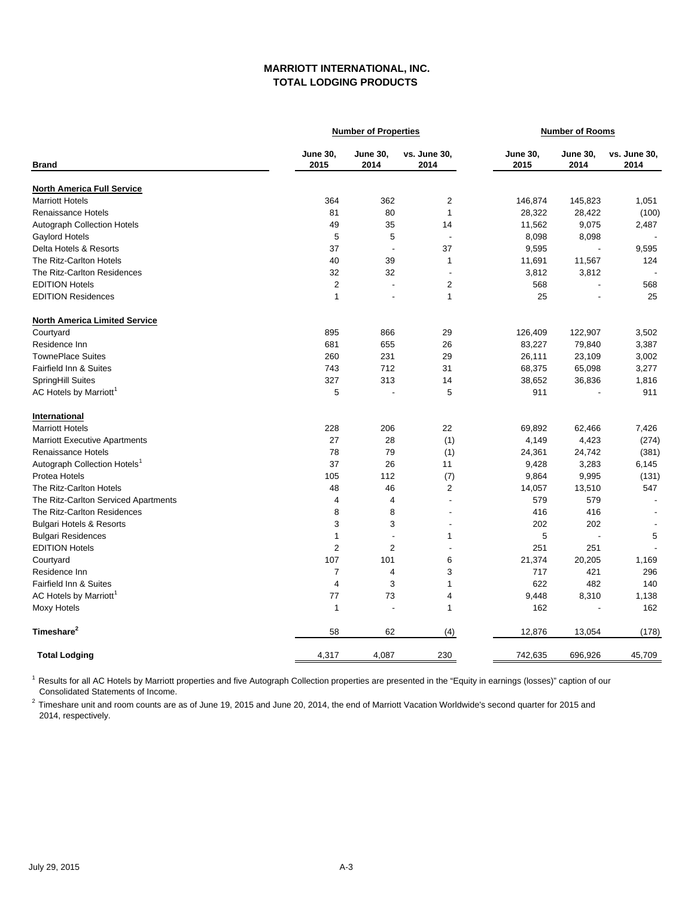## **MARRIOTT INTERNATIONAL, INC. TOTAL LODGING PRODUCTS**

|                                          |                         | <b>Number of Properties</b> | <b>Number of Rooms</b>   |                         |                          |                      |
|------------------------------------------|-------------------------|-----------------------------|--------------------------|-------------------------|--------------------------|----------------------|
| <b>Brand</b>                             | <b>June 30,</b><br>2015 | <b>June 30,</b><br>2014     | vs. June 30,<br>2014     | <b>June 30,</b><br>2015 | <b>June 30,</b><br>2014  | vs. June 30,<br>2014 |
| <b>North America Full Service</b>        |                         |                             |                          |                         |                          |                      |
| <b>Marriott Hotels</b>                   | 364                     | 362                         | $\overline{2}$           | 146,874                 | 145,823                  | 1,051                |
| <b>Renaissance Hotels</b>                | 81                      | 80                          | $\mathbf{1}$             | 28,322                  | 28,422                   | (100)                |
| Autograph Collection Hotels              | 49                      | 35                          | 14                       | 11,562                  | 9,075                    | 2,487                |
| <b>Gaylord Hotels</b>                    | 5                       | 5                           | $\overline{\phantom{a}}$ | 8,098                   | 8,098                    |                      |
| Delta Hotels & Resorts                   | 37                      | $\overline{\phantom{a}}$    | 37                       | 9,595                   |                          | 9,595                |
| The Ritz-Carlton Hotels                  | 40                      | 39                          | 1                        | 11,691                  | 11,567                   | 124                  |
| The Ritz-Carlton Residences              | 32                      | 32                          | ÷,                       | 3,812                   | 3,812                    |                      |
| <b>EDITION Hotels</b>                    | $\overline{2}$          | $\overline{a}$              | $\overline{2}$           | 568                     | L.                       | 568                  |
| <b>EDITION Residences</b>                | $\overline{1}$          |                             | $\mathbf{1}$             | 25                      |                          | 25                   |
| <b>North America Limited Service</b>     |                         |                             |                          |                         |                          |                      |
| Courtyard                                | 895                     | 866                         | 29                       | 126,409                 | 122,907                  | 3,502                |
| Residence Inn                            | 681                     | 655                         | 26                       | 83,227                  | 79,840                   | 3,387                |
| <b>TownePlace Suites</b>                 | 260                     | 231                         | 29                       | 26,111                  | 23,109                   | 3,002                |
| <b>Fairfield Inn &amp; Suites</b>        | 743                     | 712                         | 31                       | 68,375                  | 65,098                   | 3,277                |
| SpringHill Suites                        | 327                     | 313                         | 14                       | 38,652                  | 36,836                   | 1,816                |
| AC Hotels by Marriott <sup>1</sup>       | 5                       |                             | 5                        | 911                     |                          | 911                  |
| International                            |                         |                             |                          |                         |                          |                      |
| <b>Marriott Hotels</b>                   | 228                     | 206                         | 22                       | 69,892                  | 62,466                   | 7,426                |
| <b>Marriott Executive Apartments</b>     | 27                      | 28                          | (1)                      | 4,149                   | 4,423                    | (274)                |
| Renaissance Hotels                       | 78                      | 79                          | (1)                      | 24,361                  | 24,742                   | (381)                |
| Autograph Collection Hotels <sup>1</sup> | 37                      | 26                          | 11                       | 9,428                   | 3,283                    | 6,145                |
| Protea Hotels                            | 105                     | 112                         | (7)                      | 9,864                   | 9,995                    | (131)                |
| The Ritz-Carlton Hotels                  | 48                      | 46                          | $\overline{2}$           | 14,057                  | 13,510                   | 547                  |
| The Ritz-Carlton Serviced Apartments     | 4                       | 4                           | $\overline{a}$           | 579                     | 579                      |                      |
| The Ritz-Carlton Residences              | 8                       | 8                           | $\overline{a}$           | 416                     | 416                      |                      |
| <b>Bulgari Hotels &amp; Resorts</b>      | 3                       | 3                           | L,                       | 202                     | 202                      |                      |
| <b>Bulgari Residences</b>                | $\mathbf{1}$            | ÷,                          | 1                        | 5                       | $\overline{\phantom{a}}$ | 5                    |
| <b>EDITION Hotels</b>                    | $\overline{2}$          | $\overline{2}$              | ÷                        | 251                     | 251                      |                      |
| Courtyard                                | 107                     | 101                         | 6                        | 21,374                  | 20,205                   | 1,169                |
| Residence Inn                            | $\overline{7}$          | 4                           | 3                        | 717                     | 421                      | 296                  |
| <b>Fairfield Inn &amp; Suites</b>        | $\overline{4}$          | 3                           | 1                        | 622                     | 482                      | 140                  |
| AC Hotels by Marriott <sup>1</sup>       | 77                      | 73                          | 4                        | 9,448                   | 8,310                    | 1,138                |
| <b>Moxy Hotels</b>                       | $\overline{1}$          | ÷.                          | $\mathbf{1}$             | 162                     |                          | 162                  |
| Timeshare <sup>2</sup>                   | 58                      | 62                          | (4)                      | 12,876                  | 13,054                   | (178)                |
| <b>Total Lodging</b>                     | 4,317                   | 4,087                       | 230                      | 742,635                 | 696,926                  | 45,709               |

<sup>1</sup> Results for all AC Hotels by Marriott properties and five Autograph Collection properties are presented in the "Equity in earnings (losses)" caption of our Consolidated Statements of Income.

2 Timeshare unit and room counts are as of June 19, 2015 and June 20, 2014, the end of Marriott Vacation Worldwide's second quarter for 2015 and 2014, respectively.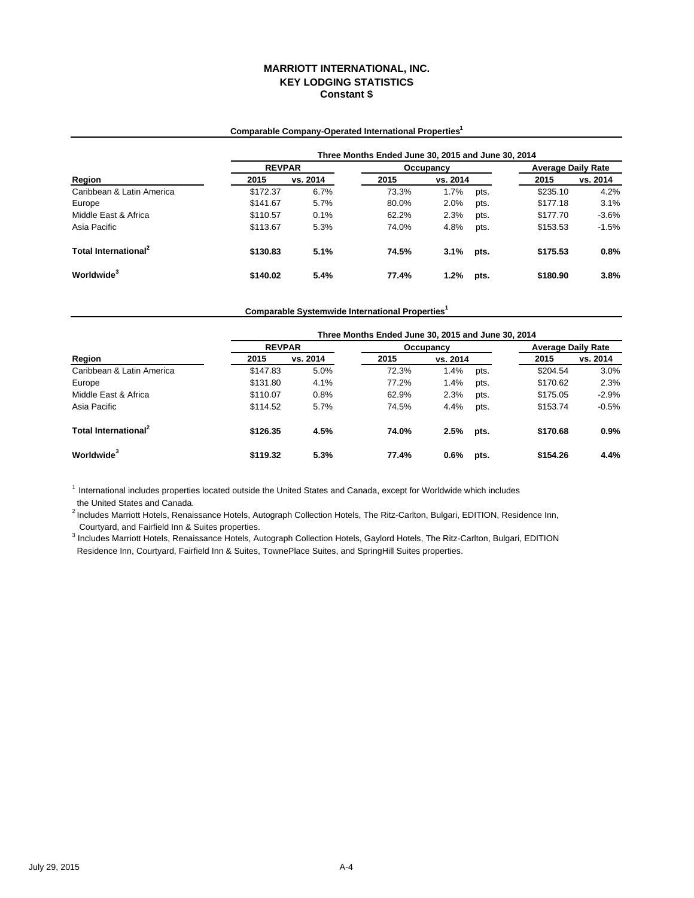## **Comparable Company-Operated International Properties1**

|                                  | Three Months Ended June 30, 2015 and June 30, 2014 |               |       |           |      |          |                           |  |  |
|----------------------------------|----------------------------------------------------|---------------|-------|-----------|------|----------|---------------------------|--|--|
| Region                           |                                                    | <b>REVPAR</b> |       | Occupancy |      |          | <b>Average Daily Rate</b> |  |  |
|                                  | 2015                                               | vs. 2014      | 2015  | vs. 2014  |      | 2015     | vs. 2014                  |  |  |
| Caribbean & Latin America        | \$172.37                                           | 6.7%          | 73.3% | 1.7%      | pts. | \$235.10 | 4.2%                      |  |  |
| Europe                           | \$141.67                                           | 5.7%          | 80.0% | 2.0%      | pts. | \$177.18 | 3.1%                      |  |  |
| Middle East & Africa             | \$110.57                                           | 0.1%          | 62.2% | 2.3%      | pts. | \$177.70 | $-3.6%$                   |  |  |
| Asia Pacific                     | \$113.67                                           | 5.3%          | 74.0% | 4.8%      | pts. | \$153.53 | $-1.5%$                   |  |  |
| Total International <sup>2</sup> | \$130.83                                           | 5.1%          | 74.5% | 3.1%      | pts. | \$175.53 | 0.8%                      |  |  |
| Worldwide <sup>3</sup>           | \$140.02                                           | 5.4%          | 77.4% | 1.2%      | pts. | \$180.90 | 3.8%                      |  |  |

**Comparable Systemwide International Properties1**

|                                  | Three Months Ended June 30, 2015 and June 30, 2014 |          |           |          |      |                           |          |  |  |  |
|----------------------------------|----------------------------------------------------|----------|-----------|----------|------|---------------------------|----------|--|--|--|
| Region                           | <b>REVPAR</b>                                      |          | Occupancy |          |      | <b>Average Daily Rate</b> |          |  |  |  |
|                                  | 2015                                               | vs. 2014 | 2015      | vs. 2014 |      | 2015                      | vs. 2014 |  |  |  |
| Caribbean & Latin America        | \$147.83                                           | 5.0%     | 72.3%     | 1.4%     | pts. | \$204.54                  | 3.0%     |  |  |  |
| Europe                           | \$131.80                                           | 4.1%     | 77.2%     | 1.4%     | pts. | \$170.62                  | 2.3%     |  |  |  |
| Middle East & Africa             | \$110.07                                           | 0.8%     | 62.9%     | 2.3%     | pts. | \$175.05                  | $-2.9%$  |  |  |  |
| Asia Pacific                     | \$114.52                                           | 5.7%     | 74.5%     | 4.4%     | pts. | \$153.74                  | $-0.5%$  |  |  |  |
| Total International <sup>2</sup> | \$126.35                                           | 4.5%     | 74.0%     | 2.5%     | pts. | \$170.68                  | 0.9%     |  |  |  |
| Worldwide <sup>3</sup>           | \$119.32                                           | 5.3%     | 77.4%     | $0.6\%$  | pts. | \$154.26                  | 4.4%     |  |  |  |

 $1$  International includes properties located outside the United States and Canada, except for Worldwide which includes the United States and Canada.

 Courtyard, and Fairfield Inn & Suites properties. <sup>2</sup> Includes Marriott Hotels, Renaissance Hotels, Autograph Collection Hotels, The Ritz-Carlton, Bulgari, EDITION, Residence Inn,

<sup>3</sup> Includes Marriott Hotels, Renaissance Hotels, Autograph Collection Hotels, Gaylord Hotels, The Ritz-Carlton, Bulgari, EDITION Residence Inn, Courtyard, Fairfield Inn & Suites, TownePlace Suites, and SpringHill Suites properties.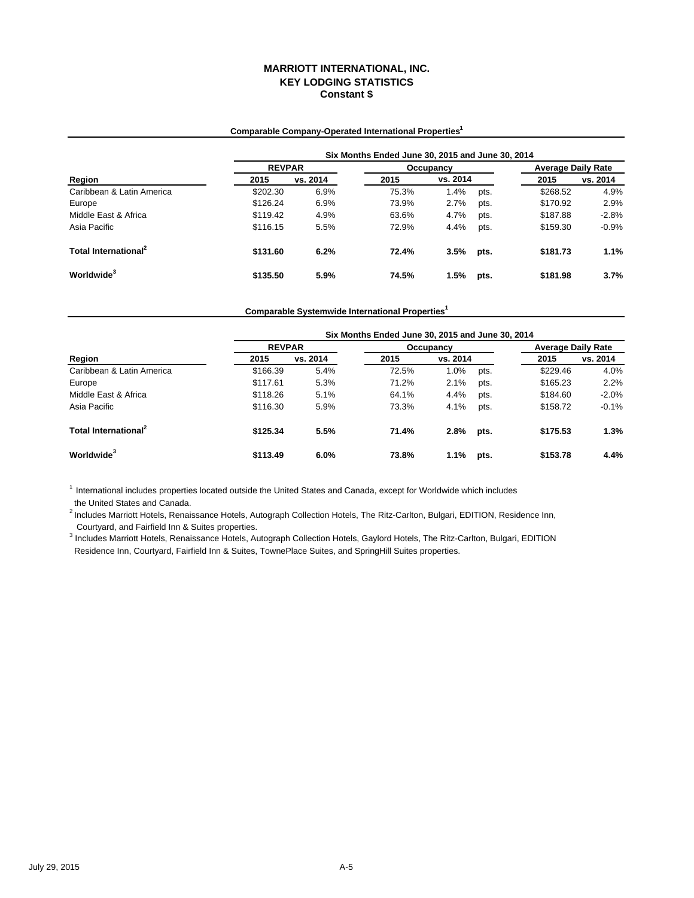## **Comparable Company-Operated International Properties1**

|                                  |          | Six Months Ended June 30, 2015 and June 30, 2014 |       |           |      |          |                           |  |  |  |
|----------------------------------|----------|--------------------------------------------------|-------|-----------|------|----------|---------------------------|--|--|--|
| Region                           |          | <b>REVPAR</b>                                    |       | Occupancy |      |          | <b>Average Daily Rate</b> |  |  |  |
|                                  | 2015     | vs. 2014                                         | 2015  | vs. 2014  |      | 2015     | vs. 2014                  |  |  |  |
| Caribbean & Latin America        | \$202.30 | 6.9%                                             | 75.3% | 1.4%      | pts. | \$268.52 | 4.9%                      |  |  |  |
| Europe                           | \$126.24 | 6.9%                                             | 73.9% | 2.7%      | pts. | \$170.92 | 2.9%                      |  |  |  |
| Middle East & Africa             | \$119.42 | 4.9%                                             | 63.6% | 4.7%      | pts. | \$187.88 | $-2.8%$                   |  |  |  |
| Asia Pacific                     | \$116.15 | 5.5%                                             | 72.9% | 4.4%      | pts. | \$159.30 | $-0.9%$                   |  |  |  |
| Total International <sup>2</sup> | \$131.60 | 6.2%                                             | 72.4% | 3.5%      | pts. | \$181.73 | 1.1%                      |  |  |  |
| Worldwide <sup>3</sup>           | \$135.50 | 5.9%                                             | 74.5% | 1.5%      | pts. | \$181.98 | 3.7%                      |  |  |  |

**Comparable Systemwide International Properties1**

|                                  |               | Six Months Ended June 30, 2015 and June 30, 2014 |       |           |      |          |                           |  |  |  |
|----------------------------------|---------------|--------------------------------------------------|-------|-----------|------|----------|---------------------------|--|--|--|
| Region                           | <b>REVPAR</b> |                                                  |       | Occupancy |      |          | <b>Average Daily Rate</b> |  |  |  |
|                                  | 2015          | vs. 2014                                         | 2015  | vs. 2014  |      | 2015     | vs. 2014                  |  |  |  |
| Caribbean & Latin America        | \$166.39      | 5.4%                                             | 72.5% | 1.0%      | pts. | \$229.46 | 4.0%                      |  |  |  |
| Europe                           | \$117.61      | 5.3%                                             | 71.2% | 2.1%      | pts. | \$165.23 | 2.2%                      |  |  |  |
| Middle East & Africa             | \$118.26      | 5.1%                                             | 64.1% | 4.4%      | pts. | \$184.60 | $-2.0%$                   |  |  |  |
| Asia Pacific                     | \$116.30      | 5.9%                                             | 73.3% | 4.1%      | pts. | \$158.72 | $-0.1%$                   |  |  |  |
| Total International <sup>2</sup> | \$125.34      | 5.5%                                             | 71.4% | 2.8%      | pts. | \$175.53 | 1.3%                      |  |  |  |
| Worldwide <sup>3</sup>           | \$113.49      | 6.0%                                             | 73.8% | 1.1%      | pts. | \$153.78 | 4.4%                      |  |  |  |

 $<sup>1</sup>$  International includes properties located outside the United States and Canada, except for Worldwide which includes</sup> the United States and Canada.

 Courtyard, and Fairfield Inn & Suites properties. <sup>2</sup> Includes Marriott Hotels, Renaissance Hotels, Autograph Collection Hotels, The Ritz-Carlton, Bulgari, EDITION, Residence Inn,

<sup>3</sup> Includes Marriott Hotels, Renaissance Hotels, Autograph Collection Hotels, Gaylord Hotels, The Ritz-Carlton, Bulgari, EDITION Residence Inn, Courtyard, Fairfield Inn & Suites, TownePlace Suites, and SpringHill Suites properties.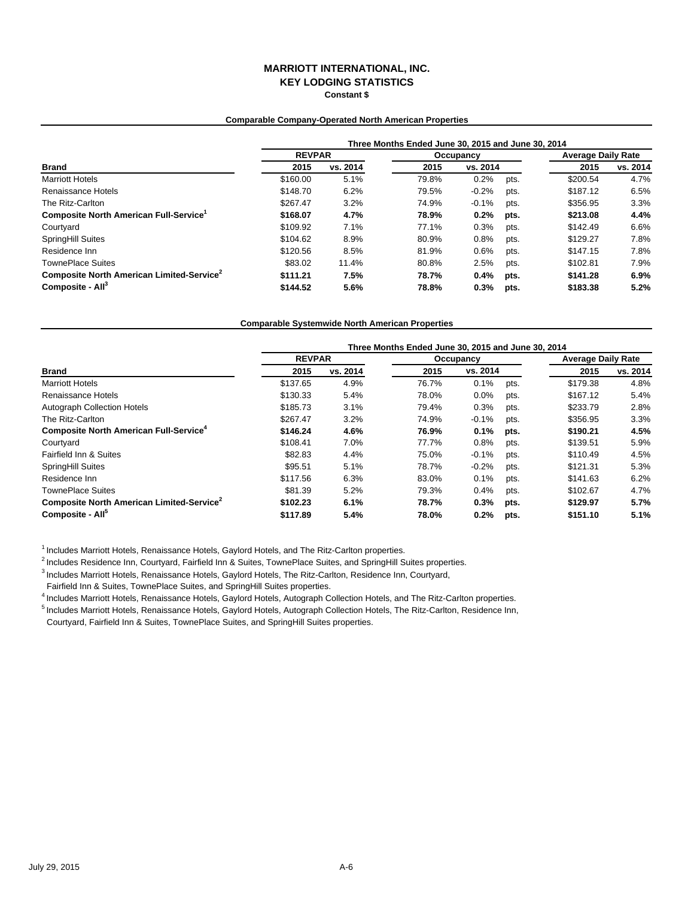### **Comparable Company-Operated North American Properties**

|                                                       | Three Months Ended June 30, 2015 and June 30, 2014 |          |           |          |      |                           |          |  |
|-------------------------------------------------------|----------------------------------------------------|----------|-----------|----------|------|---------------------------|----------|--|
|                                                       | <b>REVPAR</b>                                      |          | Occupancy |          |      | <b>Average Daily Rate</b> |          |  |
| <b>Brand</b>                                          | 2015                                               | vs. 2014 | 2015      | vs. 2014 |      | 2015                      | vs. 2014 |  |
| <b>Marriott Hotels</b>                                | \$160.00                                           | 5.1%     | 79.8%     | 0.2%     | pts. | \$200.54                  | 4.7%     |  |
| Renaissance Hotels                                    | \$148.70                                           | 6.2%     | 79.5%     | $-0.2%$  | pts. | \$187.12                  | 6.5%     |  |
| The Ritz-Carlton                                      | \$267.47                                           | 3.2%     | 74.9%     | $-0.1%$  | pts. | \$356.95                  | 3.3%     |  |
| Composite North American Full-Service <sup>1</sup>    | \$168.07                                           | 4.7%     | 78.9%     | 0.2%     | pts. | \$213.08                  | 4.4%     |  |
| Courtyard                                             | \$109.92                                           | 7.1%     | 77.1%     | 0.3%     | pts. | \$142.49                  | 6.6%     |  |
| <b>SpringHill Suites</b>                              | \$104.62                                           | 8.9%     | 80.9%     | 0.8%     | pts. | \$129.27                  | 7.8%     |  |
| Residence Inn                                         | \$120.56                                           | 8.5%     | 81.9%     | 0.6%     | pts. | \$147.15                  | 7.8%     |  |
| <b>TownePlace Suites</b>                              | \$83.02                                            | 11.4%    | 80.8%     | 2.5%     | pts. | \$102.81                  | 7.9%     |  |
| Composite North American Limited-Service <sup>2</sup> | \$111.21                                           | 7.5%     | 78.7%     | 0.4%     | pts. | \$141.28                  | 6.9%     |  |
| Composite - All <sup>3</sup>                          | \$144.52                                           | 5.6%     | 78.8%     | 0.3%     | pts. | \$183.38                  | 5.2%     |  |

### **Comparable Systemwide North American Properties**

|                                                          | Three Months Ended June 30, 2015 and June 30, 2014 |          |           |          |      |                           |          |  |
|----------------------------------------------------------|----------------------------------------------------|----------|-----------|----------|------|---------------------------|----------|--|
|                                                          | <b>REVPAR</b>                                      |          | Occupancy |          |      | <b>Average Daily Rate</b> |          |  |
| <b>Brand</b>                                             | 2015                                               | vs. 2014 | 2015      | vs. 2014 |      | 2015                      | vs. 2014 |  |
| <b>Marriott Hotels</b>                                   | \$137.65                                           | 4.9%     | 76.7%     | 0.1%     | pts. | \$179.38                  | 4.8%     |  |
| Renaissance Hotels                                       | \$130.33                                           | 5.4%     | 78.0%     | 0.0%     | pts. | \$167.12                  | 5.4%     |  |
| <b>Autograph Collection Hotels</b>                       | \$185.73                                           | 3.1%     | 79.4%     | 0.3%     | pts. | \$233.79                  | 2.8%     |  |
| The Ritz-Carlton                                         | \$267.47                                           | 3.2%     | 74.9%     | $-0.1%$  | pts. | \$356.95                  | 3.3%     |  |
| <b>Composite North American Full-Service<sup>4</sup></b> | \$146.24                                           | 4.6%     | 76.9%     | 0.1%     | pts. | \$190.21                  | 4.5%     |  |
| Courtyard                                                | \$108.41                                           | 7.0%     | 77.7%     | 0.8%     | pts. | \$139.51                  | 5.9%     |  |
| <b>Fairfield Inn &amp; Suites</b>                        | \$82.83                                            | 4.4%     | 75.0%     | $-0.1%$  | pts. | \$110.49                  | 4.5%     |  |
| <b>SpringHill Suites</b>                                 | \$95.51                                            | 5.1%     | 78.7%     | $-0.2%$  | pts. | \$121.31                  | 5.3%     |  |
| Residence Inn                                            | \$117.56                                           | 6.3%     | 83.0%     | 0.1%     | pts. | \$141.63                  | 6.2%     |  |
| <b>TownePlace Suites</b>                                 | \$81.39                                            | 5.2%     | 79.3%     | 0.4%     | pts. | \$102.67                  | 4.7%     |  |
| Composite North American Limited-Service <sup>2</sup>    | \$102.23                                           | 6.1%     | 78.7%     | 0.3%     | pts. | \$129.97                  | 5.7%     |  |
| Composite - All <sup>5</sup>                             | \$117.89                                           | 5.4%     | 78.0%     | 0.2%     | pts. | \$151.10                  | 5.1%     |  |

 $<sup>1</sup>$  Includes Marriott Hotels, Renaissance Hotels, Gaylord Hotels, and The Ritz-Carlton properties.</sup>

<sup>2</sup> Includes Residence Inn, Courtyard, Fairfield Inn & Suites, TownePlace Suites, and SpringHill Suites properties.

3 Includes Marriott Hotels, Renaissance Hotels, Gaylord Hotels, The Ritz-Carlton, Residence Inn, Courtyard,

Fairfield Inn & Suites, TownePlace Suites, and SpringHill Suites properties.

4 Includes Marriott Hotels, Renaissance Hotels, Gaylord Hotels, Autograph Collection Hotels, and The Ritz-Carlton properties.

5 Includes Marriott Hotels, Renaissance Hotels, Gaylord Hotels, Autograph Collection Hotels, The Ritz-Carlton, Residence Inn,

Courtyard, Fairfield Inn & Suites, TownePlace Suites, and SpringHill Suites properties.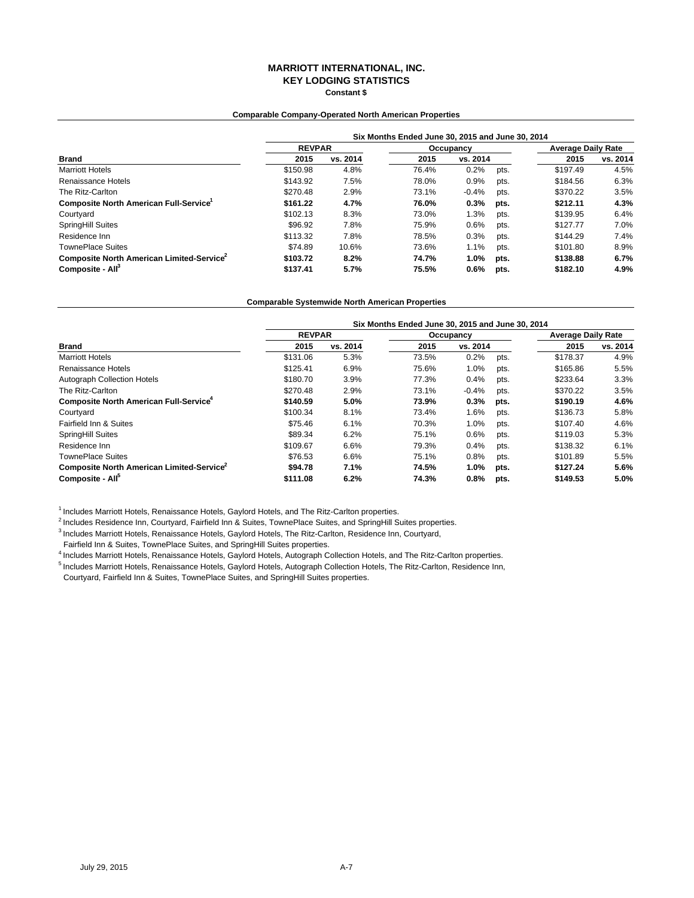### **Comparable Company-Operated North American Properties**

|                                                       | Six Months Ended June 30, 2015 and June 30, 2014 |          |       |           |      |          |                           |  |  |
|-------------------------------------------------------|--------------------------------------------------|----------|-------|-----------|------|----------|---------------------------|--|--|
| <b>Brand</b>                                          | <b>REVPAR</b>                                    |          |       | Occupancy |      |          | <b>Average Daily Rate</b> |  |  |
|                                                       | 2015                                             | vs. 2014 | 2015  | vs. 2014  |      | 2015     | vs. 2014                  |  |  |
| <b>Marriott Hotels</b>                                | \$150.98                                         | 4.8%     | 76.4% | 0.2%      | pts. | \$197.49 | 4.5%                      |  |  |
| Renaissance Hotels                                    | \$143.92                                         | 7.5%     | 78.0% | 0.9%      | pts. | \$184.56 | 6.3%                      |  |  |
| The Ritz-Carlton                                      | \$270.48                                         | 2.9%     | 73.1% | $-0.4%$   | pts. | \$370.22 | 3.5%                      |  |  |
| <b>Composite North American Full-Service</b>          | \$161.22                                         | 4.7%     | 76.0% | 0.3%      | pts. | \$212.11 | 4.3%                      |  |  |
| Courtyard                                             | \$102.13                                         | 8.3%     | 73.0% | 1.3%      | pts. | \$139.95 | 6.4%                      |  |  |
| SpringHill Suites                                     | \$96.92                                          | 7.8%     | 75.9% | 0.6%      | pts. | \$127.77 | 7.0%                      |  |  |
| Residence Inn                                         | \$113.32                                         | 7.8%     | 78.5% | 0.3%      | pts. | \$144.29 | 7.4%                      |  |  |
| <b>TownePlace Suites</b>                              | \$74.89                                          | 10.6%    | 73.6% | 1.1%      | pts. | \$101.80 | 8.9%                      |  |  |
| Composite North American Limited-Service <sup>2</sup> | \$103.72                                         | 8.2%     | 74.7% | 1.0%      | pts. | \$138.88 | 6.7%                      |  |  |
| Composite - All <sup>3</sup>                          | \$137.41                                         | 5.7%     | 75.5% | 0.6%      | pts. | \$182.10 | 4.9%                      |  |  |

#### **Comparable Systemwide North American Properties**

|                                                           | Six Months Ended June 30, 2015 and June 30, 2014 |          |           |          |      |                           |          |  |
|-----------------------------------------------------------|--------------------------------------------------|----------|-----------|----------|------|---------------------------|----------|--|
|                                                           | <b>REVPAR</b>                                    |          | Occupancy |          |      | <b>Average Daily Rate</b> |          |  |
| <b>Brand</b>                                              | 2015                                             | vs. 2014 | 2015      | vs. 2014 |      | 2015                      | vs. 2014 |  |
| <b>Marriott Hotels</b>                                    | \$131.06                                         | 5.3%     | 73.5%     | 0.2%     | pts. | \$178.37                  | 4.9%     |  |
| Renaissance Hotels                                        | \$125.41                                         | 6.9%     | 75.6%     | 1.0%     | pts. | \$165.86                  | 5.5%     |  |
| Autograph Collection Hotels                               | \$180.70                                         | 3.9%     | 77.3%     | 0.4%     | pts. | \$233.64                  | 3.3%     |  |
| The Ritz-Carlton                                          | \$270.48                                         | 2.9%     | 73.1%     | $-0.4%$  | pts. | \$370.22                  | 3.5%     |  |
| <b>Composite North American Full-Service</b> <sup>4</sup> | \$140.59                                         | 5.0%     | 73.9%     | 0.3%     | pts. | \$190.19                  | 4.6%     |  |
| Courtyard                                                 | \$100.34                                         | 8.1%     | 73.4%     | 1.6%     | pts. | \$136.73                  | 5.8%     |  |
| Fairfield Inn & Suites                                    | \$75.46                                          | 6.1%     | 70.3%     | 1.0%     | pts. | \$107.40                  | 4.6%     |  |
| SpringHill Suites                                         | \$89.34                                          | 6.2%     | 75.1%     | 0.6%     | pts. | \$119.03                  | 5.3%     |  |
| Residence Inn                                             | \$109.67                                         | 6.6%     | 79.3%     | 0.4%     | pts. | \$138.32                  | 6.1%     |  |
| <b>TownePlace Suites</b>                                  | \$76.53                                          | 6.6%     | 75.1%     | 0.8%     | pts. | \$101.89                  | 5.5%     |  |
| Composite North American Limited-Service <sup>2</sup>     | \$94.78                                          | 7.1%     | 74.5%     | 1.0%     | pts. | \$127.24                  | 5.6%     |  |
| Composite - All <sup>5</sup>                              | \$111.08                                         | 6.2%     | 74.3%     | 0.8%     | pts. | \$149.53                  | 5.0%     |  |

<sup>1</sup> Includes Marriott Hotels, Renaissance Hotels, Gaylord Hotels, and The Ritz-Carlton properties.

 $^2$  Includes Residence Inn, Courtyard, Fairfield Inn & Suites, TownePlace Suites, and SpringHill Suites properties.

3 Includes Marriott Hotels, Renaissance Hotels, Gaylord Hotels, The Ritz-Carlton, Residence Inn, Courtyard,

Fairfield Inn & Suites, TownePlace Suites, and SpringHill Suites properties.

4 Includes Marriott Hotels, Renaissance Hotels, Gaylord Hotels, Autograph Collection Hotels, and The Ritz-Carlton properties.

5 Includes Marriott Hotels, Renaissance Hotels, Gaylord Hotels, Autograph Collection Hotels, The Ritz-Carlton, Residence Inn,

Courtyard, Fairfield Inn & Suites, TownePlace Suites, and SpringHill Suites properties.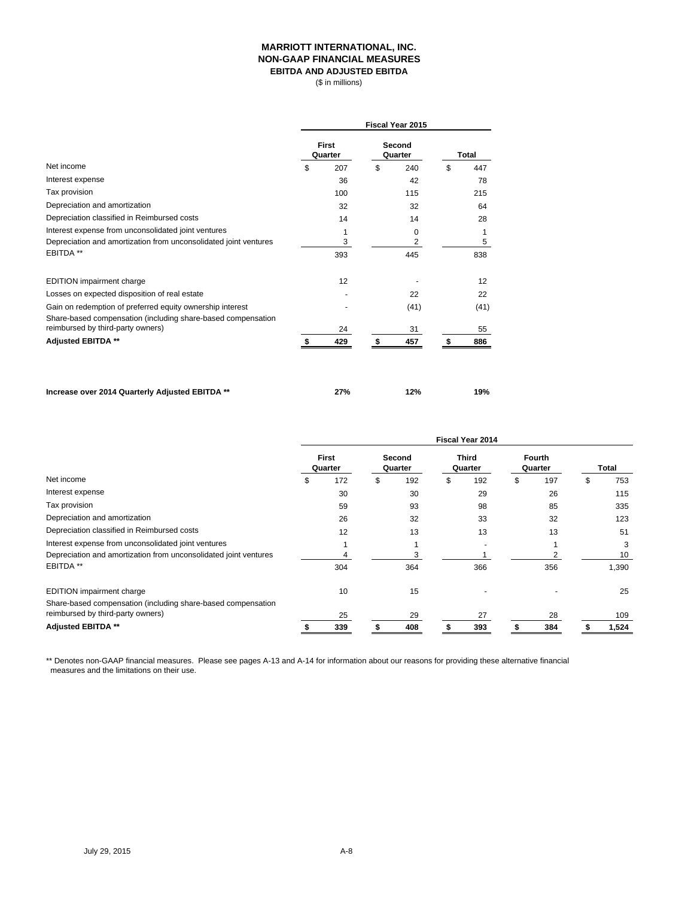### **MARRIOTT INTERNATIONAL, INC. NON-GAAP FINANCIAL MEASURES EBITDA AND ADJUSTED EBITDA**

(\$ in millions)

|                                                                  | <b>Fiscal Year 2015</b> |                         |    |                   |    |       |  |
|------------------------------------------------------------------|-------------------------|-------------------------|----|-------------------|----|-------|--|
| Net income                                                       |                         | <b>First</b><br>Quarter |    | Second<br>Quarter |    | Total |  |
|                                                                  |                         | 207                     | \$ | 240               | \$ | 447   |  |
| Interest expense                                                 |                         | 36                      |    | 42                |    | 78    |  |
| Tax provision                                                    |                         | 100                     |    | 115               |    | 215   |  |
| Depreciation and amortization                                    |                         | 32                      |    | 32                |    | 64    |  |
| Depreciation classified in Reimbursed costs                      |                         | 14                      |    | 14                |    | 28    |  |
| Interest expense from unconsolidated joint ventures              |                         | 1                       |    | 0                 |    |       |  |
| Depreciation and amortization from unconsolidated joint ventures |                         | 3                       |    | 2                 |    | 5     |  |
| EBITDA **                                                        |                         | 393                     |    | 445               |    | 838   |  |
| <b>EDITION</b> impairment charge                                 |                         | 12                      |    |                   |    | 12    |  |
| Losses on expected disposition of real estate                    |                         |                         |    | 22                |    | 22    |  |
| Gain on redemption of preferred equity ownership interest        |                         |                         |    | (41)              |    | (41)  |  |
| Share-based compensation (including share-based compensation     |                         |                         |    |                   |    |       |  |
| reimbursed by third-party owners)                                |                         | 24                      |    | 31                |    | 55    |  |
| <b>Adjusted EBITDA **</b>                                        |                         | 429                     |    | 457               |    | 886   |  |

**Increase over 2014 Quarterly Adjusted EBITDA \*\* 27% 12% 19%**

|                                                                                                   | <b>Fiscal Year 2014</b> |                         |    |                   |   |                         |                   |   |       |
|---------------------------------------------------------------------------------------------------|-------------------------|-------------------------|----|-------------------|---|-------------------------|-------------------|---|-------|
|                                                                                                   |                         | <b>First</b><br>Quarter |    | Second<br>Quarter |   | <b>Third</b><br>Quarter | Fourth<br>Quarter |   | Total |
| Net income                                                                                        | S                       | 172                     | \$ | 192               | S | 192                     | \$<br>197         | S | 753   |
| Interest expense                                                                                  |                         | 30                      |    | 30                |   | 29                      | 26                |   | 115   |
| Tax provision                                                                                     |                         | 59                      |    | 93                |   | 98                      | 85                |   | 335   |
| Depreciation and amortization                                                                     |                         | 26                      |    | 32                |   | 33                      | 32                |   | 123   |
| Depreciation classified in Reimbursed costs                                                       |                         | 12                      |    | 13                |   | 13                      | 13                |   | 51    |
| Interest expense from unconsolidated joint ventures                                               |                         |                         |    |                   |   |                         |                   |   | 3     |
| Depreciation and amortization from unconsolidated joint ventures                                  |                         |                         |    | З                 |   |                         |                   |   | 10    |
| EBITDA <sup>**</sup>                                                                              |                         | 304                     |    | 364               |   | 366                     | 356               |   | 1,390 |
| <b>EDITION</b> impairment charge                                                                  |                         | 10                      |    | 15                |   |                         |                   |   | 25    |
| Share-based compensation (including share-based compensation<br>reimbursed by third-party owners) |                         |                         |    |                   |   |                         |                   |   |       |
|                                                                                                   |                         | 25                      |    | 29                |   | 27                      | 28                |   | 109   |
| <b>Adjusted EBITDA **</b>                                                                         |                         | 339                     |    | 408               |   | 393                     | 384               |   | 1,524 |

\*\* Denotes non-GAAP financial measures. Please see pages A-13 and A-14 for information about our reasons for providing these alternative financial measures and the limitations on their use.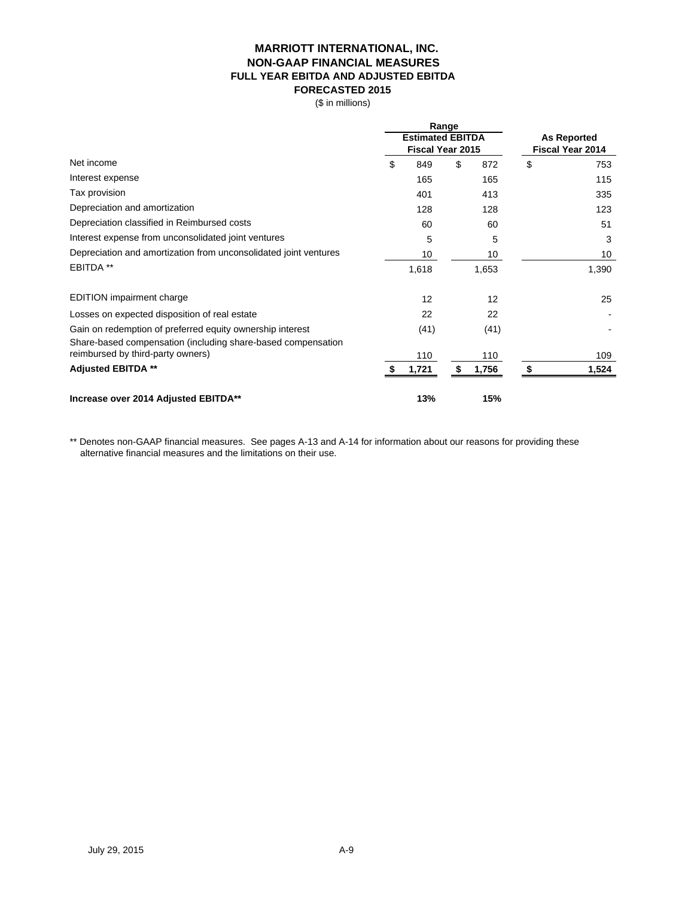## **MARRIOTT INTERNATIONAL, INC. NON-GAAP FINANCIAL MEASURES FULL YEAR EBITDA AND ADJUSTED EBITDA FORECASTED 2015**

(\$ in millions)

|                                                                  | Range<br><b>Estimated EBITDA</b><br><b>Fiscal Year 2015</b> |       |    | <b>As Reported</b><br><b>Fiscal Year 2014</b> |    |       |
|------------------------------------------------------------------|-------------------------------------------------------------|-------|----|-----------------------------------------------|----|-------|
| Net income                                                       | \$                                                          | 849   | \$ | 872                                           | \$ | 753   |
| Interest expense                                                 |                                                             | 165   |    | 165                                           |    | 115   |
| Tax provision                                                    |                                                             | 401   |    | 413                                           |    | 335   |
| Depreciation and amortization                                    |                                                             | 128   |    | 128                                           |    | 123   |
| Depreciation classified in Reimbursed costs                      |                                                             | 60    |    | 60                                            |    | 51    |
| Interest expense from unconsolidated joint ventures              |                                                             | 5     |    | 5                                             |    | 3     |
| Depreciation and amortization from unconsolidated joint ventures |                                                             | 10    |    | 10                                            |    | 10    |
| EBITDA **                                                        |                                                             | 1,618 |    | 1,653                                         |    | 1,390 |
| <b>EDITION</b> impairment charge                                 |                                                             | 12    |    | 12                                            |    | 25    |
| Losses on expected disposition of real estate                    |                                                             | 22    |    | 22                                            |    |       |
| Gain on redemption of preferred equity ownership interest        |                                                             | (41)  |    | (41)                                          |    |       |
| Share-based compensation (including share-based compensation     |                                                             |       |    |                                               |    |       |
| reimbursed by third-party owners)                                |                                                             | 110   |    | 110                                           |    | 109   |
| <b>Adjusted EBITDA **</b>                                        |                                                             | 1,721 | S  | 1,756                                         | \$ | 1,524 |
| Increase over 2014 Adjusted EBITDA**                             |                                                             | 13%   |    | 15%                                           |    |       |

\*\* Denotes non-GAAP financial measures. See pages A-13 and A-14 for information about our reasons for providing these alternative financial measures and the limitations on their use.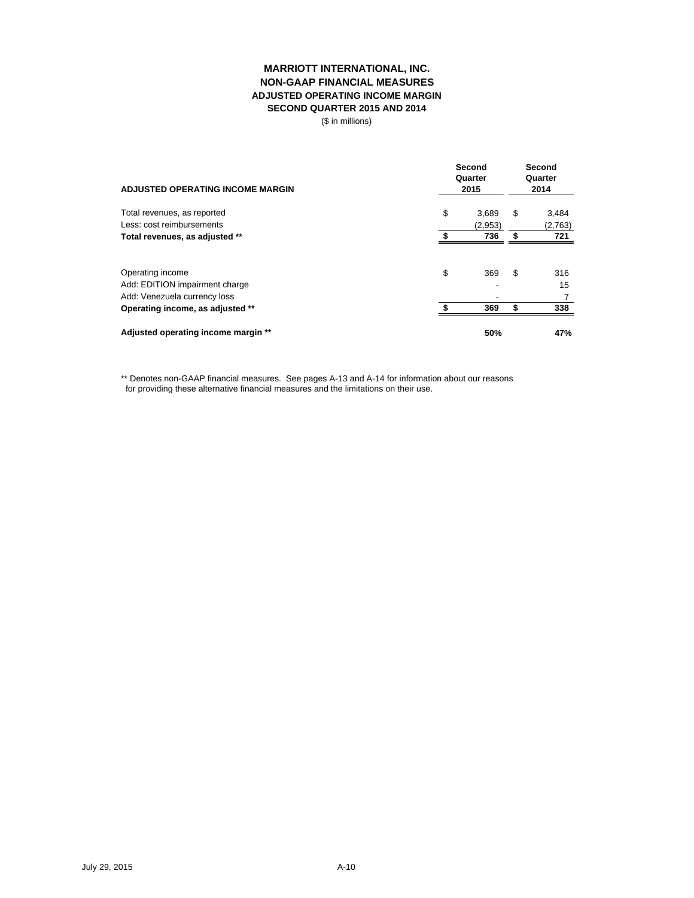## **MARRIOTT INTERNATIONAL, INC. NON-GAAP FINANCIAL MEASURES ADJUSTED OPERATING INCOME MARGIN SECOND QUARTER 2015 AND 2014**

(\$ in millions)

| <b>ADJUSTED OPERATING INCOME MARGIN</b>                                                                                | Second<br>Quarter<br>2015 |            | Second<br>Quarter<br>2014 |                  |
|------------------------------------------------------------------------------------------------------------------------|---------------------------|------------|---------------------------|------------------|
| Total revenues, as reported                                                                                            | \$                        | 3.689      | \$                        | 3,484            |
| Less: cost reimbursements                                                                                              |                           | (2,953)    |                           | (2,763)          |
| Total revenues, as adjusted **                                                                                         |                           | 736        | \$                        | 721              |
| Operating income<br>Add: EDITION impairment charge<br>Add: Venezuela currency loss<br>Operating income, as adjusted ** | \$                        | 369<br>369 | \$<br>\$                  | 316<br>15<br>338 |
| Adjusted operating income margin **                                                                                    |                           | 50%        |                           | 47%              |

\*\* Denotes non-GAAP financial measures. See pages A-13 and A-14 for information about our reasons for providing these alternative financial measures and the limitations on their use.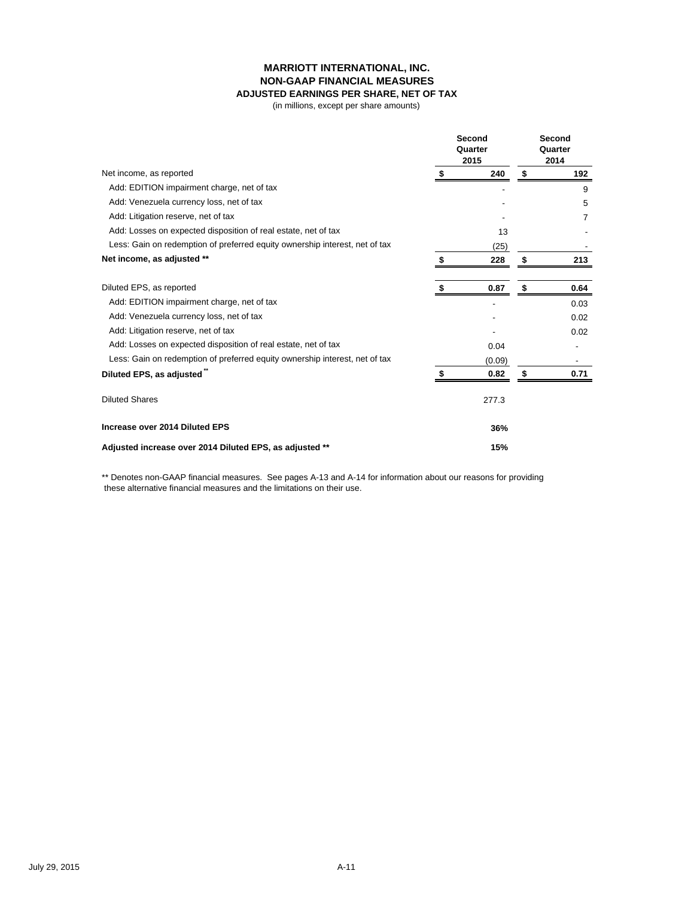# **MARRIOTT INTERNATIONAL, INC. NON-GAAP FINANCIAL MEASURES**

# **ADJUSTED EARNINGS PER SHARE, NET OF TAX**

(in millions, except per share amounts)

|                                                                             | Second<br>Quarter<br>2015 |        | Second<br>Quarter<br>2014 |      |
|-----------------------------------------------------------------------------|---------------------------|--------|---------------------------|------|
| Net income, as reported                                                     |                           | 240    | S                         | 192  |
| Add: EDITION impairment charge, net of tax                                  |                           |        |                           | 9    |
| Add: Venezuela currency loss, net of tax                                    |                           |        |                           | 5    |
| Add: Litigation reserve, net of tax                                         |                           |        |                           | 7    |
| Add: Losses on expected disposition of real estate, net of tax              |                           | 13     |                           |      |
| Less: Gain on redemption of preferred equity ownership interest, net of tax |                           | (25)   |                           |      |
| Net income, as adjusted **                                                  |                           | 228    |                           | 213  |
| Diluted EPS, as reported                                                    |                           | 0.87   | S                         | 0.64 |
| Add: EDITION impairment charge, net of tax                                  |                           |        |                           | 0.03 |
| Add: Venezuela currency loss, net of tax                                    |                           |        |                           | 0.02 |
| Add: Litigation reserve, net of tax                                         |                           |        |                           | 0.02 |
| Add: Losses on expected disposition of real estate, net of tax              |                           | 0.04   |                           |      |
| Less: Gain on redemption of preferred equity ownership interest, net of tax |                           | (0.09) |                           |      |
| Diluted EPS, as adjusted"                                                   |                           | 0.82   |                           | 0.71 |
| <b>Diluted Shares</b>                                                       |                           | 277.3  |                           |      |
| Increase over 2014 Diluted EPS                                              |                           | 36%    |                           |      |
| Adjusted increase over 2014 Diluted EPS, as adjusted **                     |                           | 15%    |                           |      |

\*\* Denotes non-GAAP financial measures. See pages A-13 and A-14 for information about our reasons for providing these alternative financial measures and the limitations on their use.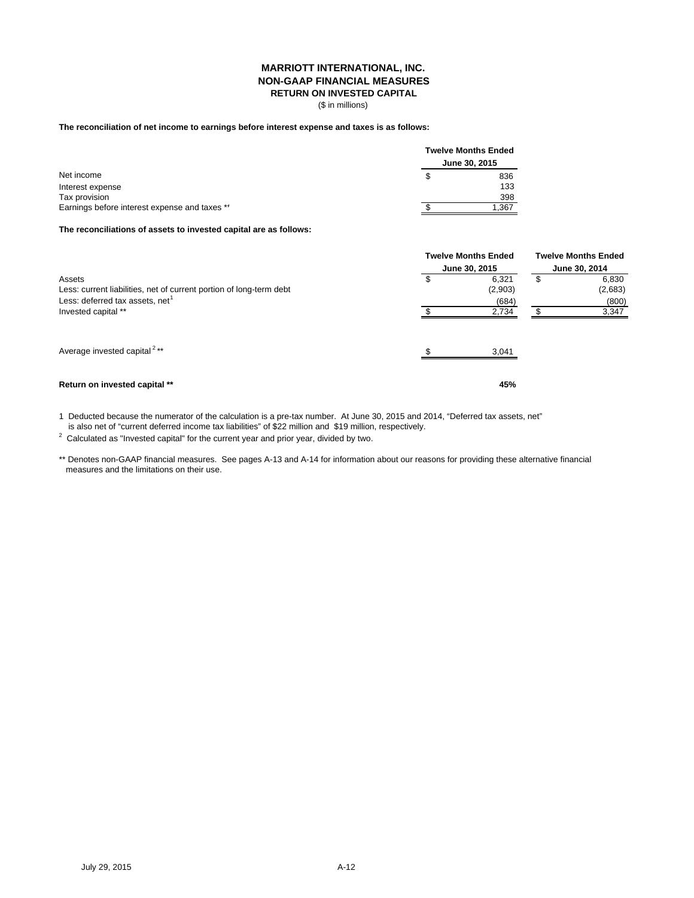### **MARRIOTT INTERNATIONAL, INC. NON-GAAP FINANCIAL MEASURES RETURN ON INVESTED CAPITAL**

(\$ in millions)

### **The reconciliation of net income to earnings before interest expense and taxes is as follows:**

|                                               | <b>Twelve Months Ended</b> |               |  |  |
|-----------------------------------------------|----------------------------|---------------|--|--|
|                                               |                            | June 30, 2015 |  |  |
| Net income                                    |                            | 836           |  |  |
| Interest expense                              |                            | 133           |  |  |
| Tax provision                                 |                            | 398           |  |  |
| Earnings before interest expense and taxes ** |                            | 1.367         |  |  |

### **The reconciliations of assets to invested capital are as follows:**

|                                                                                                                              | <b>Twelve Months Ended</b> | <b>Twelve Months Ended</b><br>June 30, 2014 |    |                           |
|------------------------------------------------------------------------------------------------------------------------------|----------------------------|---------------------------------------------|----|---------------------------|
|                                                                                                                              | June 30, 2015              |                                             |    |                           |
| Assets<br>Less: current liabilities, net of current portion of long-term debt<br>Less: deferred tax assets, net <sup>1</sup> | \$                         | 6.321<br>(2,903)<br>(684)                   | \$ | 6,830<br>(2,683)<br>(800) |
| Invested capital **                                                                                                          |                            | 2,734                                       |    | 3,347                     |
| Average invested capital <sup>2**</sup>                                                                                      |                            | 3,041                                       |    |                           |
| Return on invested capital **                                                                                                |                            | 45%                                         |    |                           |

1 Deducted because the numerator of the calculation is a pre-tax number. At June 30, 2015 and 2014, "Deferred tax assets, net" is also net of "current deferred income tax liabilities" of \$22 million and \$19 million, respectively.

 $2$  Calculated as "Invested capital" for the current year and prior year, divided by two.

\*\* Denotes non-GAAP financial measures. See pages A-13 and A-14 for information about our reasons for providing these alternative financial measures and the limitations on their use.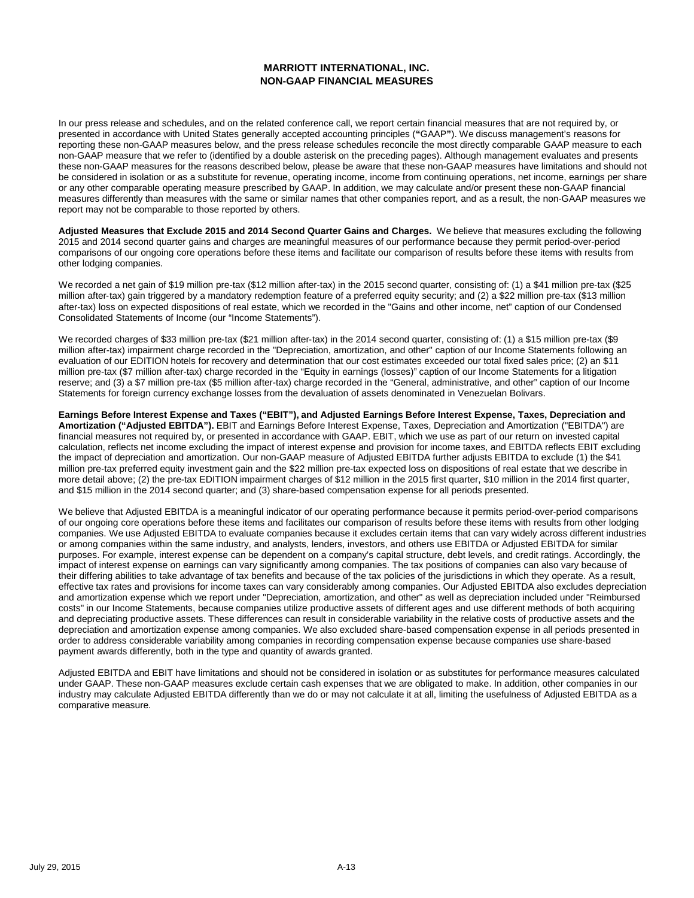## **MARRIOTT INTERNATIONAL, INC. NON-GAAP FINANCIAL MEASURES**

In our press release and schedules, and on the related conference call, we report certain financial measures that are not required by, or presented in accordance with United States generally accepted accounting principles (**"**GAAP**"**). We discuss management's reasons for reporting these non-GAAP measures below, and the press release schedules reconcile the most directly comparable GAAP measure to each non-GAAP measure that we refer to (identified by a double asterisk on the preceding pages). Although management evaluates and presents these non-GAAP measures for the reasons described below, please be aware that these non-GAAP measures have limitations and should not be considered in isolation or as a substitute for revenue, operating income, income from continuing operations, net income, earnings per share or any other comparable operating measure prescribed by GAAP. In addition, we may calculate and/or present these non-GAAP financial measures differently than measures with the same or similar names that other companies report, and as a result, the non-GAAP measures we report may not be comparable to those reported by others.

**Adjusted Measures that Exclude 2015 and 2014 Second Quarter Gains and Charges.** We believe that measures excluding the following 2015 and 2014 second quarter gains and charges are meaningful measures of our performance because they permit period-over-period comparisons of our ongoing core operations before these items and facilitate our comparison of results before these items with results from other lodging companies.

We recorded a net gain of \$19 million pre-tax (\$12 million after-tax) in the 2015 second quarter, consisting of: (1) a \$41 million pre-tax (\$25 million after-tax) gain triggered by a mandatory redemption feature of a preferred equity security; and (2) a \$22 million pre-tax (\$13 million after-tax) loss on expected dispositions of real estate, which we recorded in the "Gains and other income, net" caption of our Condensed Consolidated Statements of Income (our "Income Statements").

We recorded charges of \$33 million pre-tax (\$21 million after-tax) in the 2014 second quarter, consisting of: (1) a \$15 million pre-tax (\$9 million after-tax) impairment charge recorded in the "Depreciation, amortization, and other" caption of our Income Statements following an evaluation of our EDITION hotels for recovery and determination that our cost estimates exceeded our total fixed sales price; (2) an \$11 million pre-tax (\$7 million after-tax) charge recorded in the "Equity in earnings (losses)" caption of our Income Statements for a litigation reserve; and (3) a \$7 million pre-tax (\$5 million after-tax) charge recorded in the "General, administrative, and other" caption of our Income Statements for foreign currency exchange losses from the devaluation of assets denominated in Venezuelan Bolivars.

**Earnings Before Interest Expense and Taxes ("EBIT"), and Adjusted Earnings Before Interest Expense, Taxes, Depreciation and Amortization ("Adjusted EBITDA").** EBIT and Earnings Before Interest Expense, Taxes, Depreciation and Amortization ("EBITDA") are financial measures not required by, or presented in accordance with GAAP. EBIT, which we use as part of our return on invested capital calculation, reflects net income excluding the impact of interest expense and provision for income taxes, and EBITDA reflects EBIT excluding the impact of depreciation and amortization. Our non-GAAP measure of Adjusted EBITDA further adjusts EBITDA to exclude (1) the \$41 million pre‐tax preferred equity investment gain and the \$22 million pre-tax expected loss on dispositions of real estate that we describe in more detail above; (2) the pre-tax EDITION impairment charges of \$12 million in the 2015 first quarter, \$10 million in the 2014 first quarter, and \$15 million in the 2014 second quarter; and (3) share-based compensation expense for all periods presented.

We believe that Adjusted EBITDA is a meaningful indicator of our operating performance because it permits period-over-period comparisons of our ongoing core operations before these items and facilitates our comparison of results before these items with results from other lodging companies. We use Adjusted EBITDA to evaluate companies because it excludes certain items that can vary widely across different industries or among companies within the same industry, and analysts, lenders, investors, and others use EBITDA or Adjusted EBITDA for similar purposes. For example, interest expense can be dependent on a company's capital structure, debt levels, and credit ratings. Accordingly, the impact of interest expense on earnings can vary significantly among companies. The tax positions of companies can also vary because of their differing abilities to take advantage of tax benefits and because of the tax policies of the jurisdictions in which they operate. As a result, effective tax rates and provisions for income taxes can vary considerably among companies. Our Adjusted EBITDA also excludes depreciation and amortization expense which we report under "Depreciation, amortization, and other" as well as depreciation included under "Reimbursed costs" in our Income Statements, because companies utilize productive assets of different ages and use different methods of both acquiring and depreciating productive assets. These differences can result in considerable variability in the relative costs of productive assets and the depreciation and amortization expense among companies. We also excluded share-based compensation expense in all periods presented in order to address considerable variability among companies in recording compensation expense because companies use share-based payment awards differently, both in the type and quantity of awards granted.

Adjusted EBITDA and EBIT have limitations and should not be considered in isolation or as substitutes for performance measures calculated under GAAP. These non-GAAP measures exclude certain cash expenses that we are obligated to make. In addition, other companies in our industry may calculate Adjusted EBITDA differently than we do or may not calculate it at all, limiting the usefulness of Adjusted EBITDA as a comparative measure.